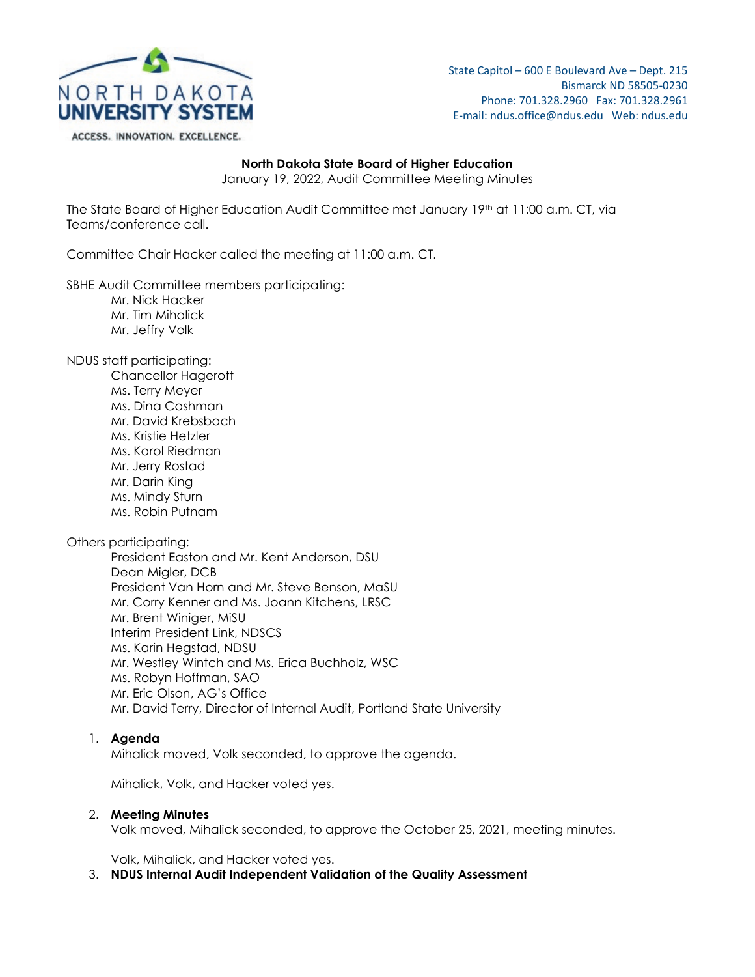

State Capitol – 600 E Boulevard Ave – Dept. 215 Bismarck ND 58505-0230 Phone: 701.328.2960 Fax: 701.328.2961 E-mail: ndus.office@ndus.edu Web: ndus.edu

### **North Dakota State Board of Higher Education**

January 19, 2022, Audit Committee Meeting Minutes

The State Board of Higher Education Audit Committee met January 19<sup>th</sup> at 11:00 a.m. CT, via Teams/conference call.

Committee Chair Hacker called the meeting at 11:00 a.m. CT.

SBHE Audit Committee members participating:

- Mr. Nick Hacker
- Mr. Tim Mihalick
- Mr. Jeffry Volk

NDUS staff participating:

Chancellor Hagerott Ms. Terry Meyer Ms. Dina Cashman Mr. David Krebsbach Ms. Kristie Hetzler Ms. Karol Riedman Mr. Jerry Rostad Mr. Darin King Ms. Mindy Sturn Ms. Robin Putnam

Others participating:

President Easton and Mr. Kent Anderson, DSU Dean Migler, DCB President Van Horn and Mr. Steve Benson, MaSU Mr. Corry Kenner and Ms. Joann Kitchens, LRSC Mr. Brent Winiger, MiSU Interim President Link, NDSCS Ms. Karin Hegstad, NDSU Mr. Westley Wintch and Ms. Erica Buchholz, WSC Ms. Robyn Hoffman, SAO Mr. Eric Olson, AG's Office Mr. David Terry, Director of Internal Audit, Portland State University

# 1. **Agenda**

Mihalick moved, Volk seconded, to approve the agenda.

Mihalick, Volk, and Hacker voted yes.

### 2. **Meeting Minutes**

Volk moved, Mihalick seconded, to approve the October 25, 2021, meeting minutes.

Volk, Mihalick, and Hacker voted yes.

# 3. **NDUS Internal Audit Independent Validation of the Quality Assessment**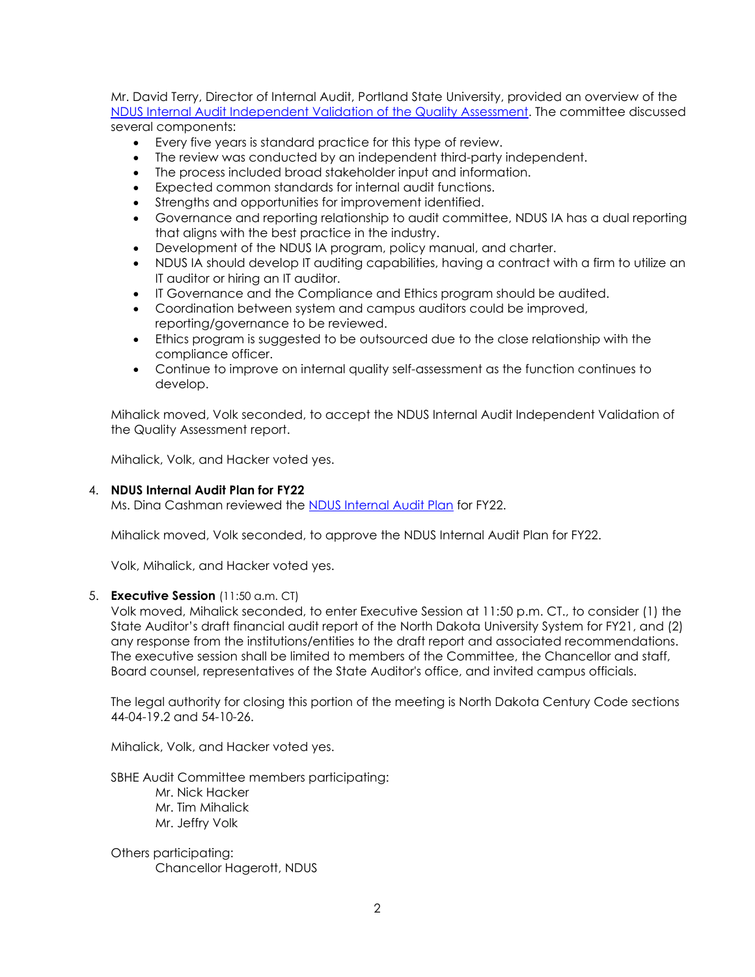Mr. David Terry, Director of Internal Audit, Portland State University, provided an overview of the [NDUS Internal Audit Independent Validation of the Quality Assessment.](https://ndusbpos.sharepoint.com/:b:/s/NDUSSBHE/EbHg7zbE9K5HqyJGxl5qDgkBPBqxQt52N6aJt3pl3gmfeg?e=RLEkOo) The committee discussed several components:

- Every five years is standard practice for this type of review.
- The review was conducted by an independent third-party independent.
- The process included broad stakeholder input and information.
- Expected common standards for internal audit functions.
- Strengths and opportunities for improvement identified.
- Governance and reporting relationship to audit committee, NDUS IA has a dual reporting that aligns with the best practice in the industry.
- Development of the NDUS IA program, policy manual, and charter.
- NDUS IA should develop IT auditing capabilities, having a contract with a firm to utilize an IT auditor or hiring an IT auditor.
- IT Governance and the Compliance and Ethics program should be audited.
- Coordination between system and campus auditors could be improved, reporting/governance to be reviewed.
- Ethics program is suggested to be outsourced due to the close relationship with the compliance officer.
- Continue to improve on internal quality self-assessment as the function continues to develop.

Mihalick moved, Volk seconded, to accept the NDUS Internal Audit Independent Validation of the Quality Assessment report.

Mihalick, Volk, and Hacker voted yes.

# 4. **NDUS Internal Audit Plan for FY22**

Ms. Dina Cashman reviewed the [NDUS Internal Audit Plan](https://ndusbpos.sharepoint.com/:b:/s/NDUSSBHE/EdcAU7LzDfRJlLrQmvlpPEsBN3XeX9ZgX2kklpcfoKtnjA?e=0cbiYI) for FY22.

Mihalick moved, Volk seconded, to approve the NDUS Internal Audit Plan for FY22.

Volk, Mihalick, and Hacker voted yes.

# 5. **Executive Session** (11:50 a.m. CT)

Volk moved, Mihalick seconded, to enter Executive Session at 11:50 p.m. CT., to consider (1) the State Auditor's draft financial audit report of the North Dakota University System for FY21, and (2) any response from the institutions/entities to the draft report and associated recommendations. The executive session shall be limited to members of the Committee, the Chancellor and staff, Board counsel, representatives of the State Auditor's office, and invited campus officials.

The legal authority for closing this portion of the meeting is North Dakota Century Code sections 44-04-19.2 and 54-10-26.

Mihalick, Volk, and Hacker voted yes.

SBHE Audit Committee members participating:

Mr. Nick Hacker Mr. Tim Mihalick Mr. Jeffry Volk

Others participating: Chancellor Hagerott, NDUS